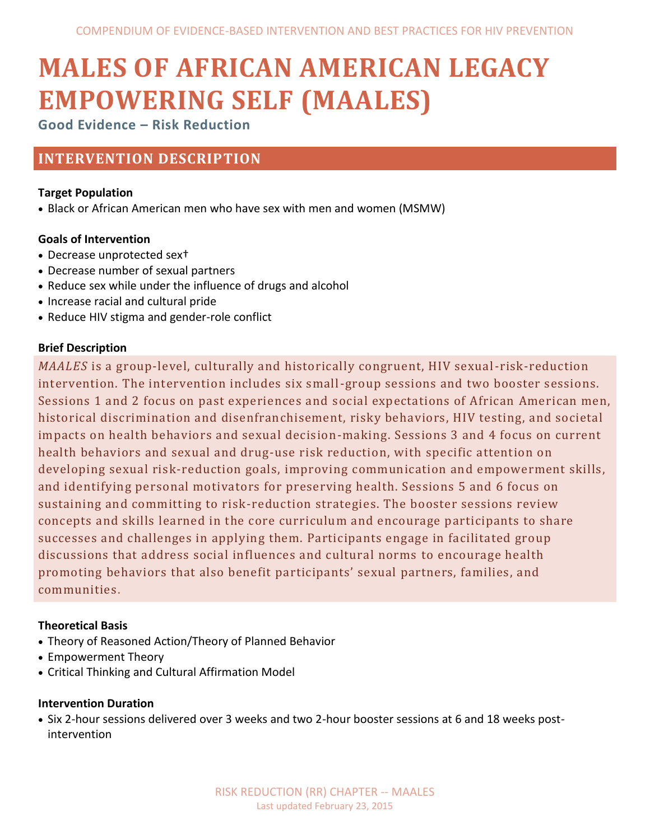# **MALES OF AFRICAN AMERICAN LEGACY EMPOWERING SELF (MAALES)**

**Good Evidence – Risk Reduction**

# **INTERVENTION DESCRIPTION**

# **Target Population**

Black or African American men who have sex with men and women (MSMW)

# **Goals of Intervention**

- Decrease unprotected sex†
- Decrease number of sexual partners
- Reduce sex while under the influence of drugs and alcohol
- Increase racial and cultural pride
- Reduce HIV stigma and gender-role conflict

# **Brief Description**

*MAALES* is a group-level, culturally and historically congruent, HIV sexual-risk-reduction intervention. The intervention includes six small-group sessions and two booster sessions. Sessions 1 and 2 focus on past experiences and social expectations of African American men, historical discrimination and disenfranchisement, risky behaviors, HIV testing, and societal impacts on health behaviors and sexual decision-making. Sessions 3 and 4 focus on current health behaviors and sexual and drug-use risk reduction, with specific attention on developing sexual risk-reduction goals, improving communication and empowerment skills, and identifying personal motivators for preserving health. Sessions 5 and 6 focus on sustaining and committing to risk-reduction strategies. The booster sessions review concepts and skills learned in the core curriculum and encourage participants to share successes and challenges in applying them. Participants engage in facilitated group discussions that address social influences and cultural norms to encourage health promoting behaviors that also benefit participants' sexual partners, families, and communities.

# **Theoretical Basis**

- Theory of Reasoned Action/Theory of Planned Behavior
- Empowerment Theory
- Critical Thinking and Cultural Affirmation Model

# **Intervention Duration**

 Six 2-hour sessions delivered over 3 weeks and two 2-hour booster sessions at 6 and 18 weeks postintervention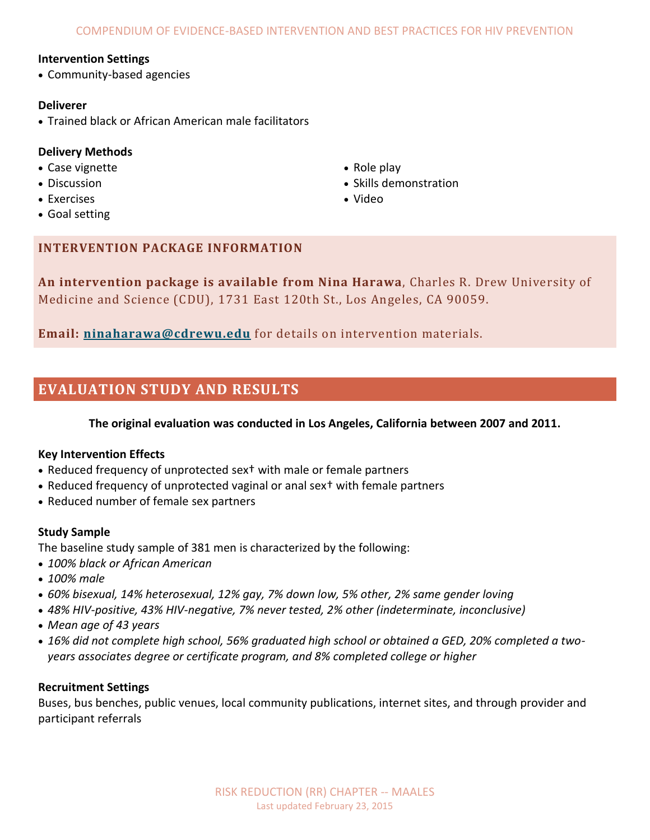#### **Intervention Settings**

• Community-based agencies

#### **Deliverer**

Trained black or African American male facilitators

# **Delivery Methods**

- Case vignette
- **Discussion**
- Exercises
- Goal setting
- Role play
- Skills demonstration
- Video

# **INTERVENTION PACKAGE INFORMATION**

**An intervention package is available from Nina Harawa**, Charles R. Drew University of Medicine and Science (CDU), 1731 East 120th St., Los Angeles, CA 90059.

**Email: [ninaharawa@cdrewu.edu](mailto:ninaharawa@cdrewu.edu)** for details on intervention materials.

# **EVALUATION STUDY AND RESULTS**

### **The original evaluation was conducted in Los Angeles, California between 2007 and 2011.**

#### **Key Intervention Effects**

- Reduced frequency of unprotected sex<sup>†</sup> with male or female partners
- Reduced frequency of unprotected vaginal or anal sex† with female partners
- Reduced number of female sex partners

#### **Study Sample**

The baseline study sample of 381 men is characterized by the following:

- *100% black or African American*
- *100% male*
- *60% bisexual, 14% heterosexual, 12% gay, 7% down low, 5% other, 2% same gender loving*
- *48% HIV-positive, 43% HIV-negative, 7% never tested, 2% other (indeterminate, inconclusive)*
- *Mean age of 43 years*
- *16% did not complete high school, 56% graduated high school or obtained a GED, 20% completed a twoyears associates degree or certificate program, and 8% completed college or higher*

#### **Recruitment Settings**

Buses, bus benches, public venues, local community publications, internet sites, and through provider and participant referrals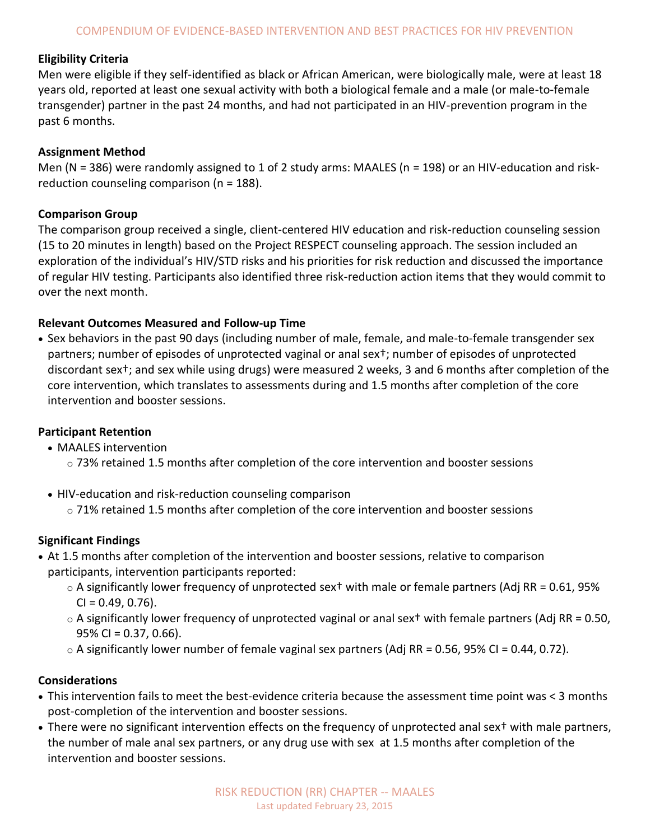# **Eligibility Criteria**

Men were eligible if they self-identified as black or African American, were biologically male, were at least 18 years old, reported at least one sexual activity with both a biological female and a male (or male-to-female transgender) partner in the past 24 months, and had not participated in an HIV-prevention program in the past 6 months.

# **Assignment Method**

Men (N = 386) were randomly assigned to 1 of 2 study arms: MAALES (n = 198) or an HIV-education and riskreduction counseling comparison (n = 188).

# **Comparison Group**

The comparison group received a single, client-centered HIV education and risk-reduction counseling session (15 to 20 minutes in length) based on the Project RESPECT counseling approach. The session included an exploration of the individual's HIV/STD risks and his priorities for risk reduction and discussed the importance of regular HIV testing. Participants also identified three risk-reduction action items that they would commit to over the next month.

# **Relevant Outcomes Measured and Follow-up Time**

 Sex behaviors in the past 90 days (including number of male, female, and male-to-female transgender sex partners; number of episodes of unprotected vaginal or anal sex†; number of episodes of unprotected discordant sex†; and sex while using drugs) were measured 2 weeks, 3 and 6 months after completion of the core intervention, which translates to assessments during and 1.5 months after completion of the core intervention and booster sessions.

# **Participant Retention**

- MAALES intervention
	- $\circ$  73% retained 1.5 months after completion of the core intervention and booster sessions
- HIV-education and risk-reduction counseling comparison
	- $\circ$  71% retained 1.5 months after completion of the core intervention and booster sessions

# **Significant Findings**

- At 1.5 months after completion of the intervention and booster sessions, relative to comparison participants, intervention participants reported:
	- $\circ$  A significantly lower frequency of unprotected sex<sup>†</sup> with male or female partners (Adj RR = 0.61, 95%  $CI = 0.49, 0.76$ ).
	- $\circ$  A significantly lower frequency of unprotected vaginal or anal sext with female partners (Adj RR = 0.50,  $95\%$  CI = 0.37, 0.66).
	- $\circ$  A significantly lower number of female vaginal sex partners (Adj RR = 0.56, 95% CI = 0.44, 0.72).

# **Considerations**

- This intervention fails to meet the best-evidence criteria because the assessment time point was < 3 months post-completion of the intervention and booster sessions.
- There were no significant intervention effects on the frequency of unprotected anal sex† with male partners, the number of male anal sex partners, or any drug use with sex at 1.5 months after completion of the intervention and booster sessions.